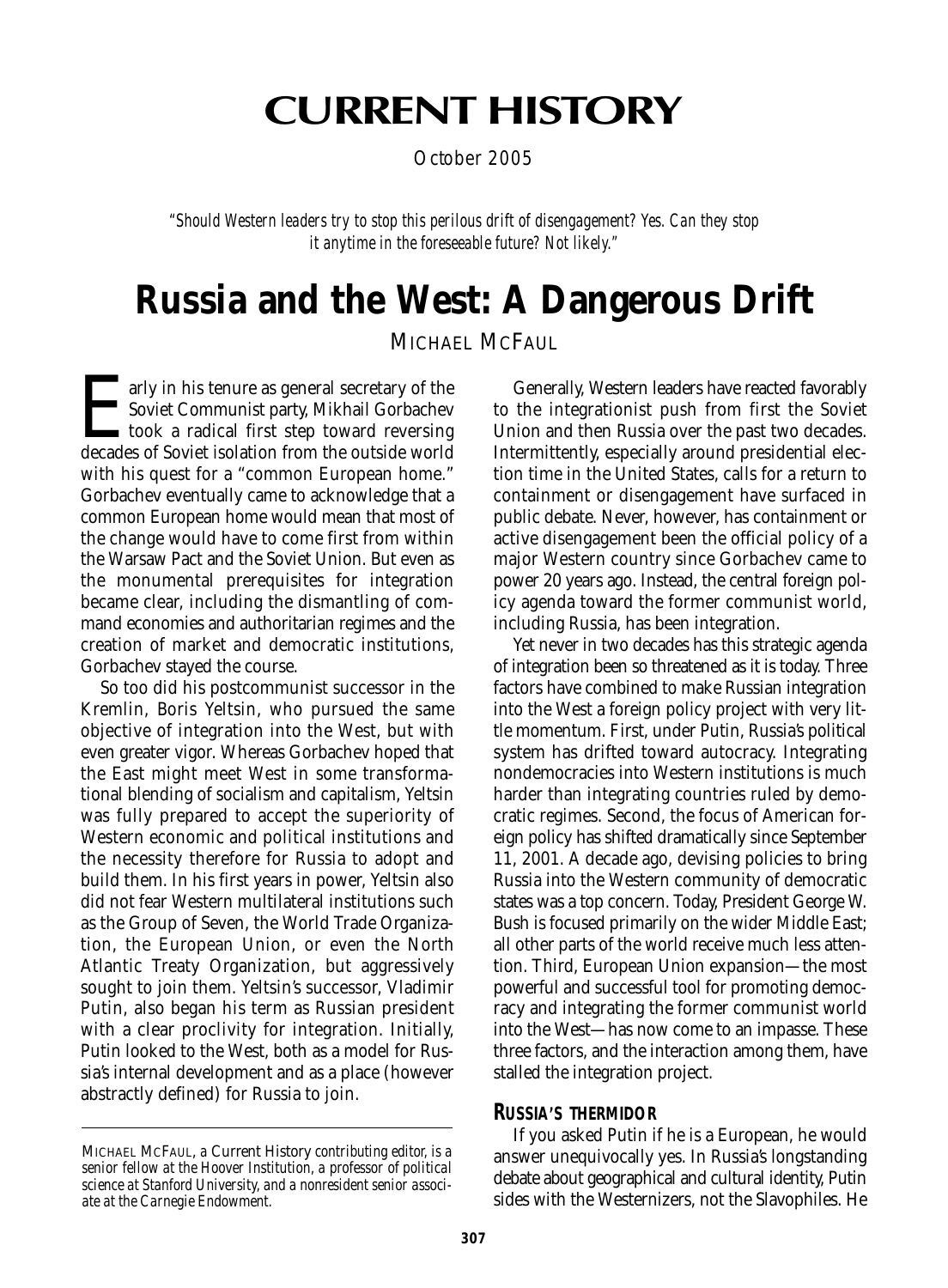# **CURRENT HISTORY**

October 2005

*"Should Western leaders try to stop this perilous drift of disengagement? Yes. Can they stop it anytime in the foreseeable future? Not likely."*

# **Russia and the West: A Dangerous Drift**

# MICHAEL MCFAUL

Early in his tenure as general secretary of the<br>Soviet Communist party, Mikhail Gorbachev<br>took a radical first step toward reversing<br>decades of Soviet isolation from the outside world Soviet Communist party, Mikhail Gorbachev **L**took a radical first step toward reversing decades of Soviet isolation from the outside world with his quest for a "common European home." Gorbachev eventually came to acknowledge that a common European home would mean that most of the change would have to come first from within the Warsaw Pact and the Soviet Union. But even as the monumental prerequisites for integration became clear, including the dismantling of command economies and authoritarian regimes and the creation of market and democratic institutions, Gorbachev stayed the course.

So too did his postcommunist successor in the Kremlin, Boris Yeltsin, who pursued the same objective of integration into the West, but with even greater vigor. Whereas Gorbachev hoped that the East might meet West in some transformational blending of socialism and capitalism, Yeltsin was fully prepared to accept the superiority of Western economic and political institutions and the necessity therefore for Russia to adopt and build them. In his first years in power, Yeltsin also did not fear Western multilateral institutions such as the Group of Seven, the World Trade Organization, the European Union, or even the North Atlantic Treaty Organization, but aggressively sought to join them. Yeltsin's successor, Vladimir Putin, also began his term as Russian president with a clear proclivity for integration. Initially, Putin looked to the West, both as a model for Russia's internal development and as a place (however abstractly defined) for Russia to join.

Generally, Western leaders have reacted favorably to the integrationist push from first the Soviet Union and then Russia over the past two decades. Intermittently, especially around presidential election time in the United States, calls for a return to containment or disengagement have surfaced in public debate. Never, however, has containment or active disengagement been the official policy of a major Western country since Gorbachev came to power 20 years ago. Instead, the central foreign policy agenda toward the former communist world, including Russia, has been integration.

Yet never in two decades has this strategic agenda of integration been so threatened as it is today. Three factors have combined to make Russian integration into the West a foreign policy project with very little momentum. First, under Putin, Russia's political system has drifted toward autocracy. Integrating nondemocracies into Western institutions is much harder than integrating countries ruled by democratic regimes. Second, the focus of American foreign policy has shifted dramatically since September 11, 2001. A decade ago, devising policies to bring Russia into the Western community of democratic states was a top concern. Today, President George W. Bush is focused primarily on the wider Middle East; all other parts of the world receive much less attention. Third, European Union expansion—the most powerful and successful tool for promoting democracy and integrating the former communist world into the West—has now come to an impasse. These three factors, and the interaction among them, have stalled the integration project.

## **RUSSIA'S THERMIDOR**

If you asked Putin if he is a European, he would answer unequivocally yes. In Russia's longstanding debate about geographical and cultural identity, Putin sides with the Westernizers, not the Slavophiles. He

MICHAEL MCFAUL, *a* Current History *contributing editor, is a senior fellow at the Hoover Institution, a professor of political science at Stanford University, and a nonresident senior associate at the Carnegie Endowment.*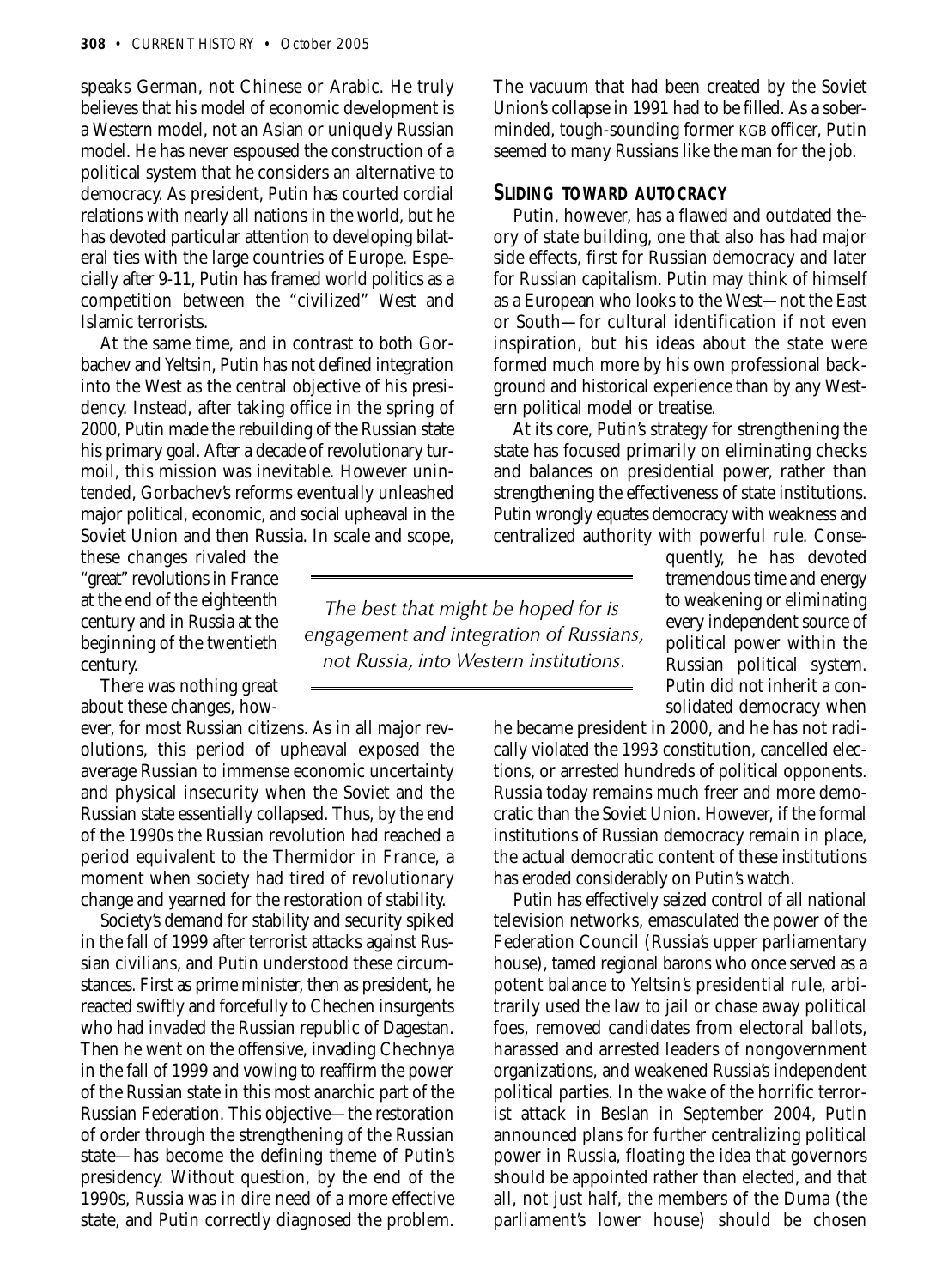speaks German, not Chinese or Arabic. He truly believes that his model of economic development is a Western model, not an Asian or uniquely Russian model. He has never espoused the construction of a political system that he considers an alternative to democracy. As president, Putin has courted cordial relations with nearly all nations in the world, but he has devoted particular attention to developing bilateral ties with the large countries of Europe. Especially after 9-11, Putin has framed world politics as a competition between the "civilized" West and Islamic terrorists.

At the same time, and in contrast to both Gorbachev and Yeltsin, Putin has not defined integration into the West as the central objective of his presidency. Instead, after taking office in the spring of 2000, Putin made the rebuilding of the Russian state his primary goal. After a decade of revolutionary turmoil, this mission was inevitable. However unintended, Gorbachev's reforms eventually unleashed major political, economic, and social upheaval in the Soviet Union and then Russia. In scale and scope,

these changes rivaled the "great" revolutions in France at the end of the eighteenth century and in Russia at the beginning of the twentieth century.

There was nothing great about these changes, how-

ever, for most Russian citizens. As in all major revolutions, this period of upheaval exposed the average Russian to immense economic uncertainty and physical insecurity when the Soviet and the Russian state essentially collapsed. Thus, by the end of the 1990s the Russian revolution had reached a period equivalent to the Thermidor in France, a moment when society had tired of revolutionary change and yearned for the restoration of stability.

Society's demand for stability and security spiked in the fall of 1999 after terrorist attacks against Russian civilians, and Putin understood these circumstances. First as prime minister, then as president, he reacted swiftly and forcefully to Chechen insurgents who had invaded the Russian republic of Dagestan. Then he went on the offensive, invading Chechnya in the fall of 1999 and vowing to reaffirm the power of the Russian state in this most anarchic part of the Russian Federation. This objective—the restoration of order through the strengthening of the Russian state—has become the defining theme of Putin's presidency. Without question, by the end of the 1990s, Russia was in dire need of a more effective state, and Putin correctly diagnosed the problem. The vacuum that had been created by the Soviet Union's collapse in 1991 had to be filled. As a soberminded, tough-sounding former KGB officer, Putin seemed to many Russians like the man for the job.

#### **SLIDING TOWARD AUTOCRACY**

Putin, however, has a flawed and outdated theory of state building, one that also has had major side effects, first for Russian democracy and later for Russian capitalism. Putin may think of himself as a European who looks to the West—not the East or South—for cultural identification if not even inspiration, but his ideas about the state were formed much more by his own professional background and historical experience than by any Western political model or treatise.

At its core, Putin's strategy for strengthening the state has focused primarily on eliminating checks and balances on presidential power, rather than strengthening the effectiveness of state institutions. Putin wrongly equates democracy with weakness and centralized authority with powerful rule. Conse-

*The best that might be hoped for is engagement and integration of Russians, not Russia, into Western institutions.*

quently, he has devoted tremendous time and energy to weakening or eliminating every independent source of political power within the Russian political system. Putin did not inherit a consolidated democracy when

he became president in 2000, and he has not radically violated the 1993 constitution, cancelled elections, or arrested hundreds of political opponents. Russia today remains much freer and more democratic than the Soviet Union. However, if the formal institutions of Russian democracy remain in place, the actual democratic content of these institutions has eroded considerably on Putin's watch.

Putin has effectively seized control of all national television networks, emasculated the power of the Federation Council (Russia's upper parliamentary house), tamed regional barons who once served as a potent balance to Yeltsin's presidential rule, arbitrarily used the law to jail or chase away political foes, removed candidates from electoral ballots, harassed and arrested leaders of nongovernment organizations, and weakened Russia's independent political parties. In the wake of the horrific terrorist attack in Beslan in September 2004, Putin announced plans for further centralizing political power in Russia, floating the idea that governors should be appointed rather than elected, and that all, not just half, the members of the Duma (the parliament's lower house) should be chosen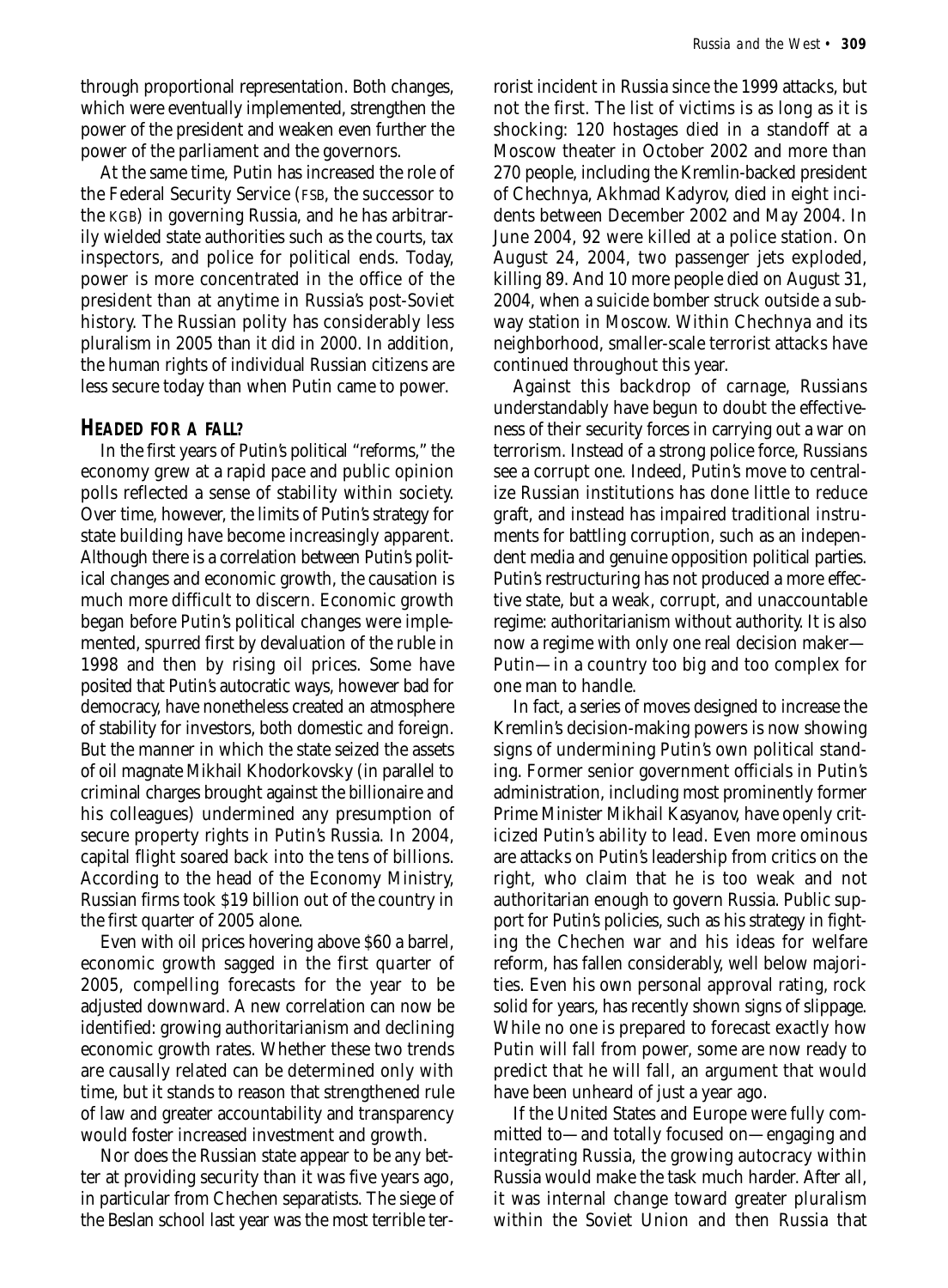through proportional representation. Both changes, which were eventually implemented, strengthen the power of the president and weaken even further the power of the parliament and the governors.

At the same time, Putin has increased the role of the Federal Security Service (FSB, the successor to the KGB) in governing Russia, and he has arbitrarily wielded state authorities such as the courts, tax inspectors, and police for political ends. Today, power is more concentrated in the office of the president than at anytime in Russia's post-Soviet history. The Russian polity has considerably less pluralism in 2005 than it did in 2000. In addition, the human rights of individual Russian citizens are less secure today than when Putin came to power.

#### **HEADED FOR A FALL?**

In the first years of Putin's political "reforms," the economy grew at a rapid pace and public opinion polls reflected a sense of stability within society. Over time, however, the limits of Putin's strategy for state building have become increasingly apparent. Although there is a correlation between Putin's political changes and economic growth, the causation is much more difficult to discern. Economic growth began before Putin's political changes were implemented, spurred first by devaluation of the ruble in 1998 and then by rising oil prices. Some have posited that Putin's autocratic ways, however bad for democracy, have nonetheless created an atmosphere of stability for investors, both domestic and foreign. But the manner in which the state seized the assets of oil magnate Mikhail Khodorkovsky (in parallel to criminal charges brought against the billionaire and his colleagues) undermined any presumption of secure property rights in Putin's Russia. In 2004, capital flight soared back into the tens of billions. According to the head of the Economy Ministry, Russian firms took \$19 billion out of the country in the first quarter of 2005 alone.

Even with oil prices hovering above \$60 a barrel, economic growth sagged in the first quarter of 2005, compelling forecasts for the year to be adjusted downward. A new correlation can now be identified: growing authoritarianism and declining economic growth rates. Whether these two trends are causally related can be determined only with time, but it stands to reason that strengthened rule of law and greater accountability and transparency would foster increased investment and growth.

Nor does the Russian state appear to be any better at providing security than it was five years ago, in particular from Chechen separatists. The siege of the Beslan school last year was the most terrible terrorist incident in Russia since the 1999 attacks, but not the first. The list of victims is as long as it is shocking: 120 hostages died in a standoff at a Moscow theater in October 2002 and more than 270 people, including the Kremlin-backed president of Chechnya, Akhmad Kadyrov, died in eight incidents between December 2002 and May 2004. In June 2004, 92 were killed at a police station. On August 24, 2004, two passenger jets exploded, killing 89. And 10 more people died on August 31, 2004, when a suicide bomber struck outside a subway station in Moscow. Within Chechnya and its neighborhood, smaller-scale terrorist attacks have continued throughout this year.

Against this backdrop of carnage, Russians understandably have begun to doubt the effectiveness of their security forces in carrying out a war on terrorism. Instead of a strong police force, Russians see a corrupt one. Indeed, Putin's move to centralize Russian institutions has done little to reduce graft, and instead has impaired traditional instruments for battling corruption, such as an independent media and genuine opposition political parties. Putin's restructuring has not produced a more effective state, but a weak, corrupt, and unaccountable regime: authoritarianism without authority. It is also now a regime with only one real decision maker— Putin—in a country too big and too complex for one man to handle.

In fact, a series of moves designed to increase the Kremlin's decision-making powers is now showing signs of undermining Putin's own political standing. Former senior government officials in Putin's administration, including most prominently former Prime Minister Mikhail Kasyanov, have openly criticized Putin's ability to lead. Even more ominous are attacks on Putin's leadership from critics on the right, who claim that he is too weak and not authoritarian enough to govern Russia. Public support for Putin's policies, such as his strategy in fighting the Chechen war and his ideas for welfare reform, has fallen considerably, well below majorities. Even his own personal approval rating, rock solid for years, has recently shown signs of slippage. While no one is prepared to forecast exactly how Putin will fall from power, some are now ready to predict that he will fall, an argument that would have been unheard of just a year ago.

If the United States and Europe were fully committed to—and totally focused on—engaging and integrating Russia, the growing autocracy within Russia would make the task much harder. After all, it was internal change toward greater pluralism within the Soviet Union and then Russia that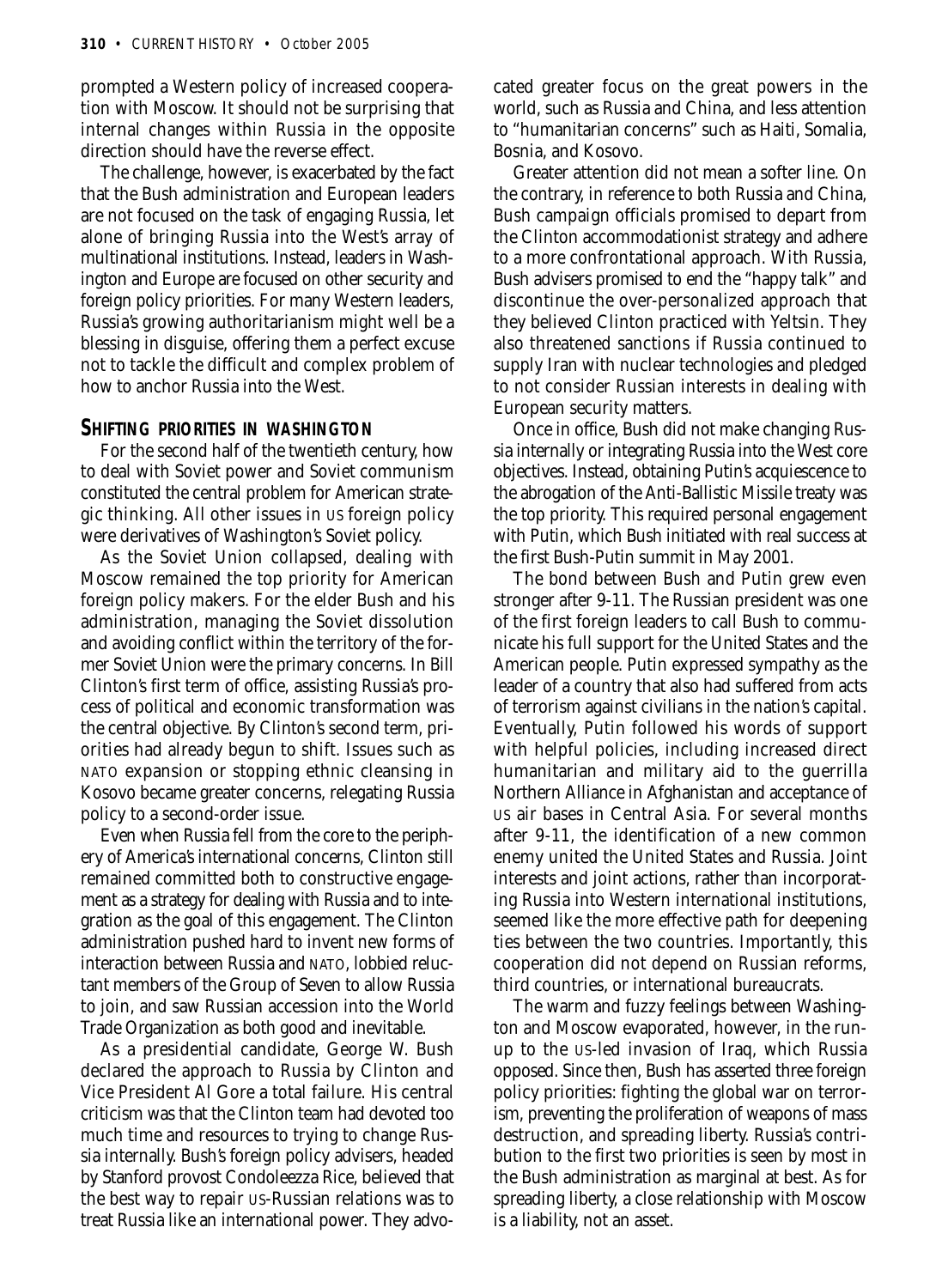prompted a Western policy of increased cooperation with Moscow. It should not be surprising that internal changes within Russia in the opposite direction should have the reverse effect.

The challenge, however, is exacerbated by the fact that the Bush administration and European leaders are not focused on the task of engaging Russia, let alone of bringing Russia into the West's array of multinational institutions. Instead, leaders in Washington and Europe are focused on other security and foreign policy priorities. For many Western leaders, Russia's growing authoritarianism might well be a blessing in disguise, offering them a perfect excuse not to tackle the difficult and complex problem of how to anchor Russia into the West.

### **SHIFTING PRIORITIES IN WASHINGTON**

For the second half of the twentieth century, how to deal with Soviet power and Soviet communism constituted the central problem for American strategic thinking. All other issues in US foreign policy were derivatives of Washington's Soviet policy.

As the Soviet Union collapsed, dealing with Moscow remained the top priority for American foreign policy makers. For the elder Bush and his administration, managing the Soviet dissolution and avoiding conflict within the territory of the former Soviet Union were the primary concerns. In Bill Clinton's first term of office, assisting Russia's process of political and economic transformation was the central objective. By Clinton's second term, priorities had already begun to shift. Issues such as NATO expansion or stopping ethnic cleansing in Kosovo became greater concerns, relegating Russia policy to a second-order issue.

Even when Russia fell from the core to the periphery of America's international concerns, Clinton still remained committed both to constructive engagement as a strategy for dealing with Russia and to integration as the goal of this engagement. The Clinton administration pushed hard to invent new forms of interaction between Russia and NATO, lobbied reluctant members of the Group of Seven to allow Russia to join, and saw Russian accession into the World Trade Organization as both good and inevitable.

As a presidential candidate, George W. Bush declared the approach to Russia by Clinton and Vice President Al Gore a total failure. His central criticism was that the Clinton team had devoted too much time and resources to trying to change Russia internally. Bush's foreign policy advisers, headed by Stanford provost Condoleezza Rice, believed that the best way to repair US-Russian relations was to treat Russia like an international power. They advocated greater focus on the great powers in the world, such as Russia and China, and less attention to "humanitarian concerns" such as Haiti, Somalia, Bosnia, and Kosovo.

Greater attention did not mean a softer line. On the contrary, in reference to both Russia and China, Bush campaign officials promised to depart from the Clinton accommodationist strategy and adhere to a more confrontational approach. With Russia, Bush advisers promised to end the "happy talk" and discontinue the over-personalized approach that they believed Clinton practiced with Yeltsin. They also threatened sanctions if Russia continued to supply Iran with nuclear technologies and pledged to not consider Russian interests in dealing with European security matters.

Once in office, Bush did not make changing Russia internally or integrating Russia into the West core objectives. Instead, obtaining Putin's acquiescence to the abrogation of the Anti-Ballistic Missile treaty was the top priority. This required personal engagement with Putin, which Bush initiated with real success at the first Bush-Putin summit in May 2001.

The bond between Bush and Putin grew even stronger after 9-11. The Russian president was one of the first foreign leaders to call Bush to communicate his full support for the United States and the American people. Putin expressed sympathy as the leader of a country that also had suffered from acts of terrorism against civilians in the nation's capital. Eventually, Putin followed his words of support with helpful policies, including increased direct humanitarian and military aid to the guerrilla Northern Alliance in Afghanistan and acceptance of US air bases in Central Asia. For several months after 9-11, the identification of a new common enemy united the United States and Russia. Joint interests and joint actions, rather than incorporating Russia into Western international institutions, seemed like the more effective path for deepening ties between the two countries. Importantly, this cooperation did not depend on Russian reforms, third countries, or international bureaucrats.

The warm and fuzzy feelings between Washington and Moscow evaporated, however, in the runup to the US-led invasion of Iraq, which Russia opposed. Since then, Bush has asserted three foreign policy priorities: fighting the global war on terrorism, preventing the proliferation of weapons of mass destruction, and spreading liberty. Russia's contribution to the first two priorities is seen by most in the Bush administration as marginal at best. As for spreading liberty, a close relationship with Moscow is a liability, not an asset.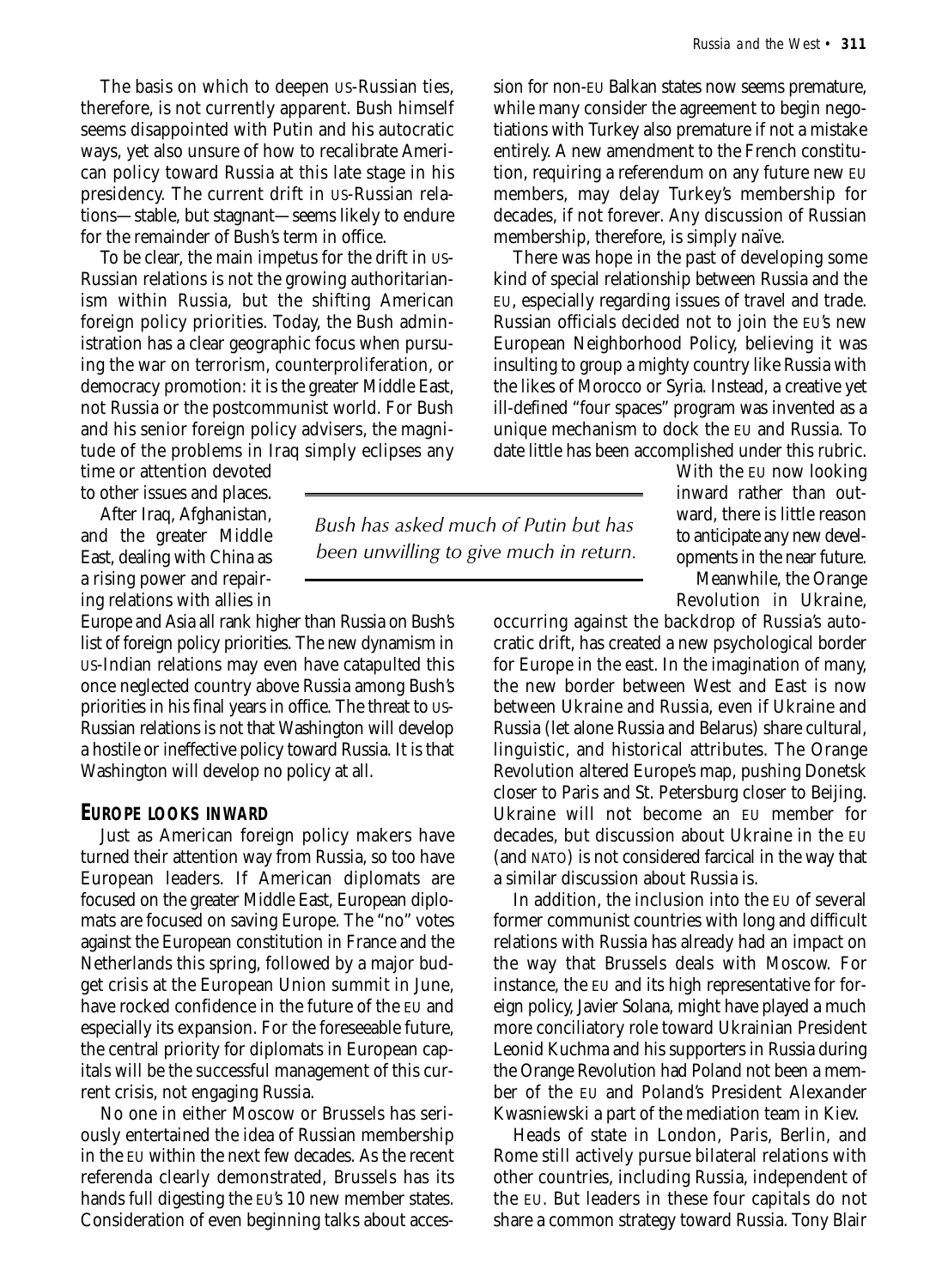The basis on which to deepen US-Russian ties, therefore, is not currently apparent. Bush himself seems disappointed with Putin and his autocratic ways, yet also unsure of how to recalibrate American policy toward Russia at this late stage in his presidency. The current drift in US-Russian relations—stable, but stagnant—seems likely to endure for the remainder of Bush's term in office.

To be clear, the main impetus for the drift in US-Russian relations is not the growing authoritarianism within Russia, but the shifting American foreign policy priorities. Today, the Bush administration has a clear geographic focus when pursuing the war on terrorism, counterproliferation, or democracy promotion: it is the greater Middle East, not Russia or the postcommunist world. For Bush and his senior foreign policy advisers, the magnitude of the problems in Iraq simply eclipses any

time or attention devoted to other issues and places.

After Iraq, Afghanistan, and the greater Middle East, dealing with China as a rising power and repairing relations with allies in

Europe and Asia all rank higher than Russia on Bush's list of foreign policy priorities. The new dynamism in US-Indian relations may even have catapulted this once neglected country above Russia among Bush's priorities in his final years in office. The threat to US-Russian relations is not that Washington will develop a hostile or ineffective policy toward Russia. It is that Washington will develop no policy at all.

#### **EUROPE LOOKS INWARD**

Just as American foreign policy makers have turned their attention way from Russia, so too have European leaders. If American diplomats are focused on the greater Middle East, European diplomats are focused on saving Europe. The "no" votes against the European constitution in France and the Netherlands this spring, followed by a major budget crisis at the European Union summit in June, have rocked confidence in the future of the EU and especially its expansion. For the foreseeable future, the central priority for diplomats in European capitals will be the successful management of this current crisis, not engaging Russia.

No one in either Moscow or Brussels has seriously entertained the idea of Russian membership in the EU within the next few decades. As the recent referenda clearly demonstrated, Brussels has its hands full digesting the EU's 10 new member states. Consideration of even beginning talks about accession for non-EU Balkan states now seems premature, while many consider the agreement to begin negotiations with Turkey also premature if not a mistake entirely. A new amendment to the French constitution, requiring a referendum on any future new EU members, may delay Turkey's membership for decades, if not forever. Any discussion of Russian membership, therefore, is simply naïve.

There was hope in the past of developing some kind of special relationship between Russia and the EU, especially regarding issues of travel and trade. Russian officials decided not to join the EU's new European Neighborhood Policy, believing it was insulting to group a mighty country like Russia with the likes of Morocco or Syria. Instead, a creative yet ill-defined "four spaces" program was invented as a unique mechanism to dock the EU and Russia. To date little has been accomplished under this rubric.

*Bush has asked much of Putin but has been unwilling to give much in return.* With the EU now looking inward rather than outward, there is little reason to anticipate any new developments in the near future. Meanwhile, the Orange

Revolution in Ukraine,

occurring against the backdrop of Russia's autocratic drift, has created a new psychological border for Europe in the east. In the imagination of many, the new border between West and East is now between Ukraine and Russia, even if Ukraine and Russia (let alone Russia and Belarus) share cultural, linguistic, and historical attributes. The Orange Revolution altered Europe's map, pushing Donetsk closer to Paris and St. Petersburg closer to Beijing. Ukraine will not become an EU member for decades, but discussion about Ukraine in the EU (and NATO) is not considered farcical in the way that a similar discussion about Russia is.

In addition, the inclusion into the EU of several former communist countries with long and difficult relations with Russia has already had an impact on the way that Brussels deals with Moscow. For instance, the EU and its high representative for foreign policy, Javier Solana, might have played a much more conciliatory role toward Ukrainian President Leonid Kuchma and his supporters in Russia during the Orange Revolution had Poland not been a member of the EU and Poland's President Alexander Kwasniewski a part of the mediation team in Kiev.

Heads of state in London, Paris, Berlin, and Rome still actively pursue bilateral relations with other countries, including Russia, independent of the EU. But leaders in these four capitals do not share a common strategy toward Russia. Tony Blair